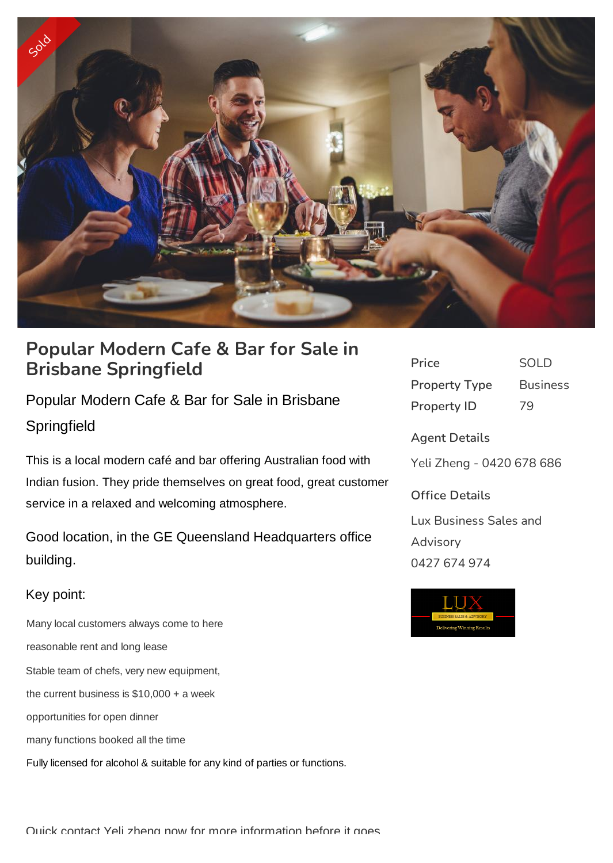

# **Popular Modern Cafe & Bar for Sale in Brisbane Springfield**

Popular Modern Cafe & Bar for Sale in Brisbane **Springfield** 

This is a local modern café and bar offering Australian food with Indian fusion. They pride themselves on great food, great customer service in a relaxed and welcoming atmosphere.

Good location, in the GE Queensland Headquarters office building.

## Key point:

 Many local customers always come to here reasonable rent and long lease Stable team of chefs, very new equipment, the current business is \$10,000 + a week opportunities for open dinner many functions booked all the time Fully licensed for alcohol & suitable for any kind of parties or functions.

| Price                | SOLD            |
|----------------------|-----------------|
| <b>Property Type</b> | <b>Business</b> |
| <b>Property ID</b>   | 79              |

**Agent Details** Yeli Zheng - 0420 678 686 **Office Details**

Lux Business Sales and Advisory 0427 674 974



Quick contact Yeli zheng now for more information before it goes